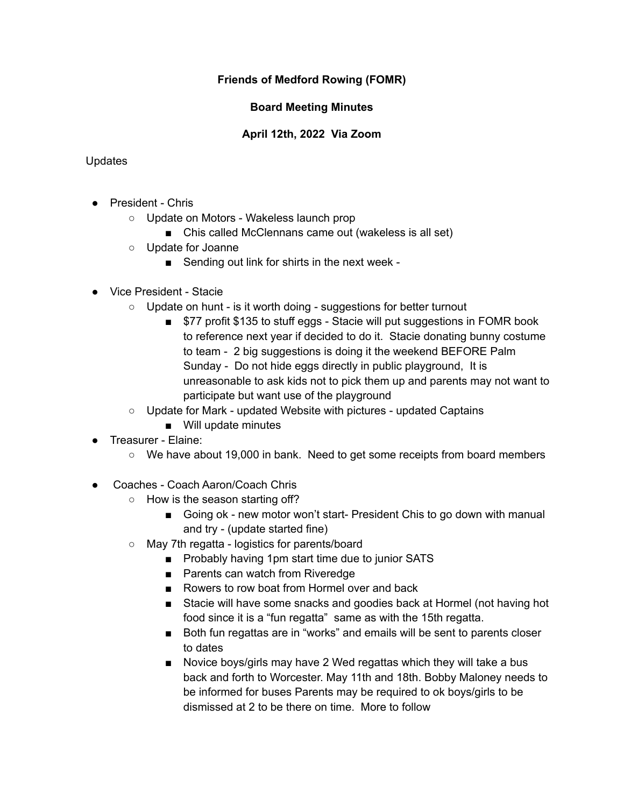# **Friends of Medford Rowing (FOMR)**

# **Board Meeting Minutes**

# **April 12th, 2022 Via Zoom**

### Updates

- President Chris
	- Update on Motors Wakeless launch prop
		- Chis called McClennans came out (wakeless is all set)
	- Update for Joanne
		- Sending out link for shirts in the next week -
- Vice President Stacie
	- Update on hunt is it worth doing suggestions for better turnout
		- \$77 profit \$135 to stuff eggs Stacie will put suggestions in FOMR book to reference next year if decided to do it. Stacie donating bunny costume to team - 2 big suggestions is doing it the weekend BEFORE Palm Sunday - Do not hide eggs directly in public playground, It is unreasonable to ask kids not to pick them up and parents may not want to participate but want use of the playground
	- Update for Mark updated Website with pictures updated Captains
		- Will update minutes
- Treasurer Elaine:
	- We have about 19,000 in bank. Need to get some receipts from board members
- Coaches Coach Aaron/Coach Chris
	- How is the season starting off?
		- Going ok new motor won't start- President Chis to go down with manual and try - (update started fine)
	- May 7th regatta logistics for parents/board
		- Probably having 1pm start time due to junior SATS
		- Parents can watch from Riveredge
		- Rowers to row boat from Hormel over and back
		- Stacie will have some snacks and goodies back at Hormel (not having hot food since it is a "fun regatta" same as with the 15th regatta.
		- Both fun regattas are in "works" and emails will be sent to parents closer to dates
		- Novice boys/girls may have 2 Wed regattas which they will take a bus back and forth to Worcester. May 11th and 18th. Bobby Maloney needs to be informed for buses Parents may be required to ok boys/girls to be dismissed at 2 to be there on time. More to follow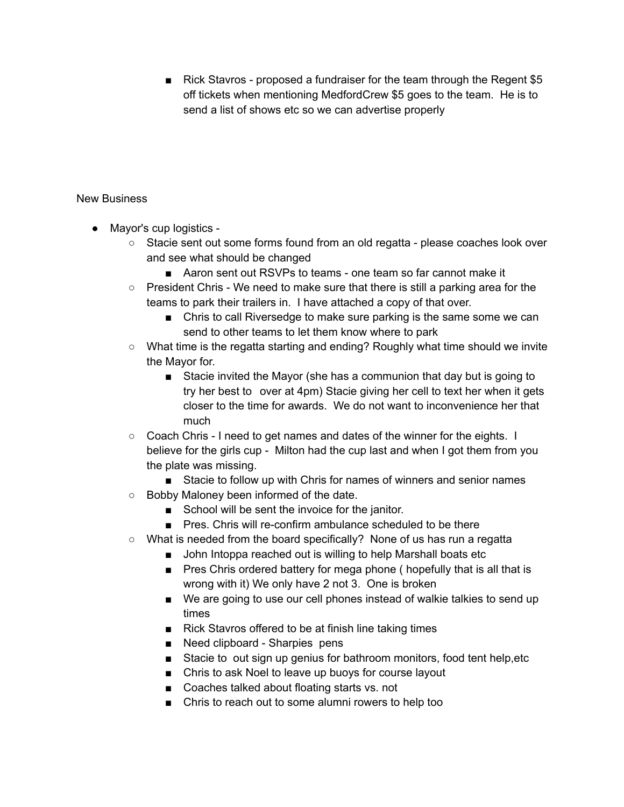■ Rick Stavros - proposed a fundraiser for the team through the Regent \$5 off tickets when mentioning MedfordCrew \$5 goes to the team. He is to send a list of shows etc so we can advertise properly

#### New Business

- Mayor's cup logistics
	- Stacie sent out some forms found from an old regatta please coaches look over and see what should be changed
		- Aaron sent out RSVPs to teams one team so far cannot make it
	- $\circ$  President Chris We need to make sure that there is still a parking area for the teams to park their trailers in. I have attached a copy of that over.
		- Chris to call Riversedge to make sure parking is the same some we can send to other teams to let them know where to park
	- What time is the regatta starting and ending? Roughly what time should we invite the Mayor for.
		- Stacie invited the Mayor (she has a communion that day but is going to try her best to over at 4pm) Stacie giving her cell to text her when it gets closer to the time for awards. We do not want to inconvenience her that much
	- Coach Chris I need to get names and dates of the winner for the eights. I believe for the girls cup - Milton had the cup last and when I got them from you the plate was missing.
		- Stacie to follow up with Chris for names of winners and senior names
	- Bobby Maloney been informed of the date.
		- School will be sent the invoice for the janitor.
		- Pres. Chris will re-confirm ambulance scheduled to be there
	- $\circ$  What is needed from the board specifically? None of us has run a regatta
		- John Intoppa reached out is willing to help Marshall boats etc
		- Pres Chris ordered battery for mega phone (hopefully that is all that is wrong with it) We only have 2 not 3. One is broken
		- We are going to use our cell phones instead of walkie talkies to send up times
		- Rick Stavros offered to be at finish line taking times
		- Need clipboard Sharpies pens
		- Stacie to out sign up genius for bathroom monitors, food tent help, etc
		- Chris to ask Noel to leave up buoys for course layout
		- Coaches talked about floating starts vs. not
		- Chris to reach out to some alumni rowers to help too